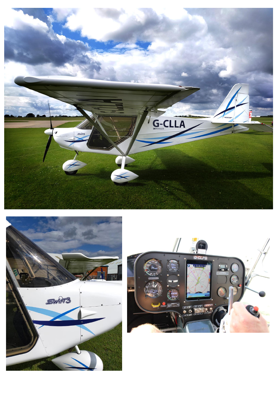



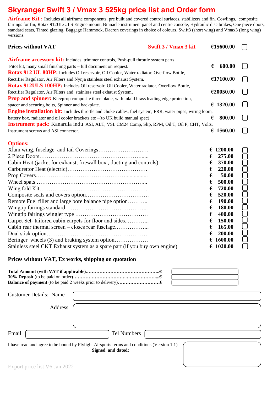# **Skyranger Swift 3 / Vmax 3 525kg price list and Order form**

Airframe Kit : Includes all airframe components, pre built and covered control surfaces, stabilizers and fin. Cowlings, composite fairings for fin, Rotax 912UL/ULS Engine mount, Binnacle instrument panel and centre console, Hydraulic disc brakes, One piece doors, standard seats, Tinted glazing, Baggage Hammock, Dacron coverings in choice of colours. Swift3 (short wing) and Vmax3 (long wing) versions.

| <b>Prices without VAT</b>                                                                                | €15600.00<br>Swift 3 / Vmax 3 kit |  |  |
|----------------------------------------------------------------------------------------------------------|-----------------------------------|--|--|
| <b>Airframe accessory kit:</b> Includes, trimmer controls, Push-pull throttle system parts               |                                   |  |  |
| Pitot kit, many small finishing parts - full document on request.                                        | 600.00<br>€                       |  |  |
| Rotax 912 UL 80HP: Includes Oil reservoir, Oil Cooler, Water radiator, Overflow Bottle,                  |                                   |  |  |
| €17100.00<br>Rectifier Regulator, Air Filters and Nynja stainless steel exhaust System.                  |                                   |  |  |
| Rotax 912ULS 100HP: Includes Oil reservoir, Oil Cooler, Water radiator, Overflow Bottle,                 |                                   |  |  |
| €20050.00<br>Rectifier Regulator, Air Filters and stainless steel exhaust System.                        |                                   |  |  |
| <b>Prop and spinner:</b> Kievprop composite three blade, with inlaid brass leading edge protection,      |                                   |  |  |
| spacer and securing bolts, Spinner and backplate.                                                        | € 1320.00                         |  |  |
| Engine installation kit: Includes throttle and choke cables, fuel system, FRR, water pipes, wiring loom, |                                   |  |  |
| battery box, radiator and oil cooler brackets etc -(to UK build manual spec)                             | 800.00<br>€                       |  |  |
| <b>Instrument pack:</b> Kanardia indu ASI, ALT, VSI. CM24 Comp, Slip, RPM, Oil T, Oil P, CHT, Volts,     |                                   |  |  |
| Instrument screws and ASI connector.                                                                     | € 1560.00                         |  |  |
| <b>Options:</b>                                                                                          |                                   |  |  |
|                                                                                                          | € 1200.00                         |  |  |
|                                                                                                          | 275.00<br>€                       |  |  |
| Cabin Heat (jacket for exhaust, firewall box, ducting and controls)<br>370.00<br>€                       |                                   |  |  |
|                                                                                                          | 220.00<br>€                       |  |  |
|                                                                                                          | 50.00<br>€                        |  |  |
| 500.00<br>€                                                                                              |                                   |  |  |
| 720.00<br>€                                                                                              |                                   |  |  |
| 520.00<br>€                                                                                              |                                   |  |  |
| 190.00<br>Remote Fuel filler and large bore balance pipe option<br>€                                     |                                   |  |  |
|                                                                                                          | €<br>180.00                       |  |  |
| 400.00<br>€                                                                                              |                                   |  |  |
| Carpet Set-tailored cabin carpets for floor and sides<br>150.00<br>€                                     |                                   |  |  |
|                                                                                                          |                                   |  |  |
|                                                                                                          | 165.00<br>€                       |  |  |
|                                                                                                          | 200.00<br>€<br>$E$ 1600.00        |  |  |

# **Prices without VAT, Ex works, shipping on quotation**

Stainless steel CKT Exhaust system as a spare part (if you buy own engine) **€ 1020.00**

 $\Box$ 

| <b>Customer Details: Name</b> |                                                                                                                 |
|-------------------------------|-----------------------------------------------------------------------------------------------------------------|
| Address                       |                                                                                                                 |
|                               |                                                                                                                 |
| Email                         | Tel Numbers                                                                                                     |
|                               | I have read and agree to be bound by Flylight Airsports terms and conditions (Version 1.1)<br>Signed and dated: |